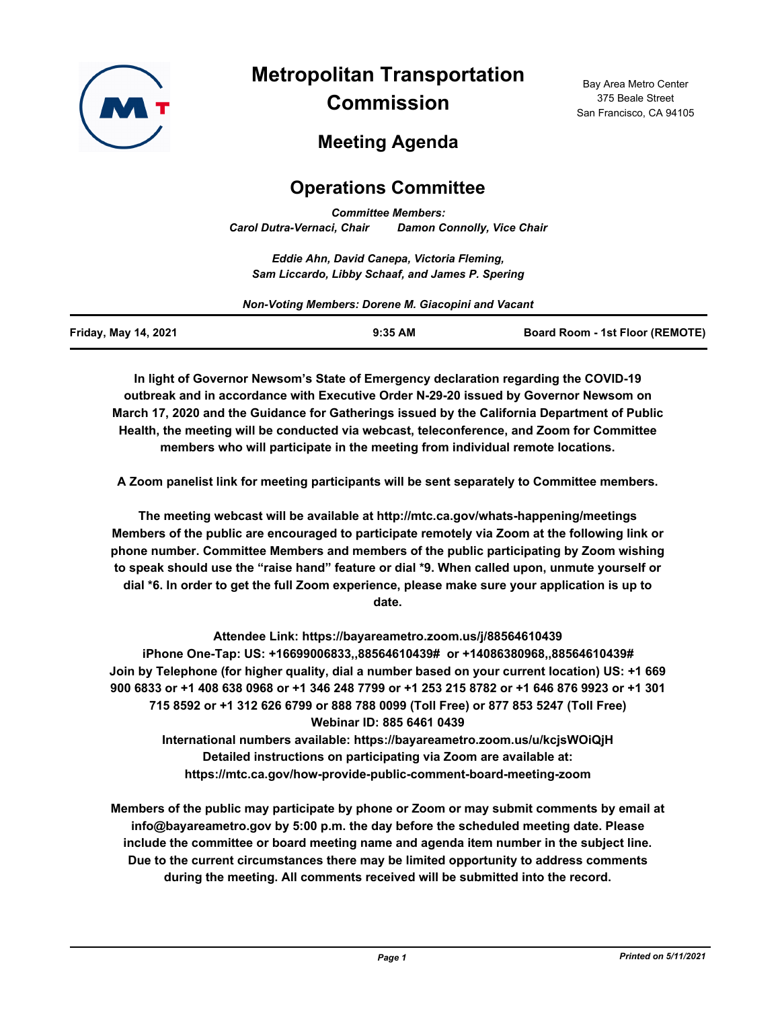

**Metropolitan Transportation Commission**

Bay Area Metro Center 375 Beale Street San Francisco, CA 94105

# **Meeting Agenda**

# **Operations Committee**

*Committee Members: Carol Dutra-Vernaci, Chair Damon Connolly, Vice Chair*

*Eddie Ahn, David Canepa, Victoria Fleming, Sam Liccardo, Libby Schaaf, and James P. Spering*

*Non-Voting Members: Dorene M. Giacopini and Vacant*

| <b>Friday, May 14, 2021</b> | $9:35$ AM | <b>Board Room - 1st Floor (REMOTE)</b> |
|-----------------------------|-----------|----------------------------------------|
|                             |           |                                        |

**In light of Governor Newsom's State of Emergency declaration regarding the COVID-19 outbreak and in accordance with Executive Order N-29-20 issued by Governor Newsom on March 17, 2020 and the Guidance for Gatherings issued by the California Department of Public Health, the meeting will be conducted via webcast, teleconference, and Zoom for Committee members who will participate in the meeting from individual remote locations.**

**A Zoom panelist link for meeting participants will be sent separately to Committee members.**

**The meeting webcast will be available at http://mtc.ca.gov/whats-happening/meetings Members of the public are encouraged to participate remotely via Zoom at the following link or phone number. Committee Members and members of the public participating by Zoom wishing to speak should use the "raise hand" feature or dial \*9. When called upon, unmute yourself or dial \*6. In order to get the full Zoom experience, please make sure your application is up to date.**

**Attendee Link: https://bayareametro.zoom.us/j/88564610439 iPhone One-Tap: US: +16699006833,,88564610439# or +14086380968,,88564610439# Join by Telephone (for higher quality, dial a number based on your current location) US: +1 669 900 6833 or +1 408 638 0968 or +1 346 248 7799 or +1 253 215 8782 or +1 646 876 9923 or +1 301 715 8592 or +1 312 626 6799 or 888 788 0099 (Toll Free) or 877 853 5247 (Toll Free) Webinar ID: 885 6461 0439 International numbers available: https://bayareametro.zoom.us/u/kcjsWOiQjH Detailed instructions on participating via Zoom are available at:**

**https://mtc.ca.gov/how-provide-public-comment-board-meeting-zoom**

**Members of the public may participate by phone or Zoom or may submit comments by email at info@bayareametro.gov by 5:00 p.m. the day before the scheduled meeting date. Please include the committee or board meeting name and agenda item number in the subject line. Due to the current circumstances there may be limited opportunity to address comments during the meeting. All comments received will be submitted into the record.**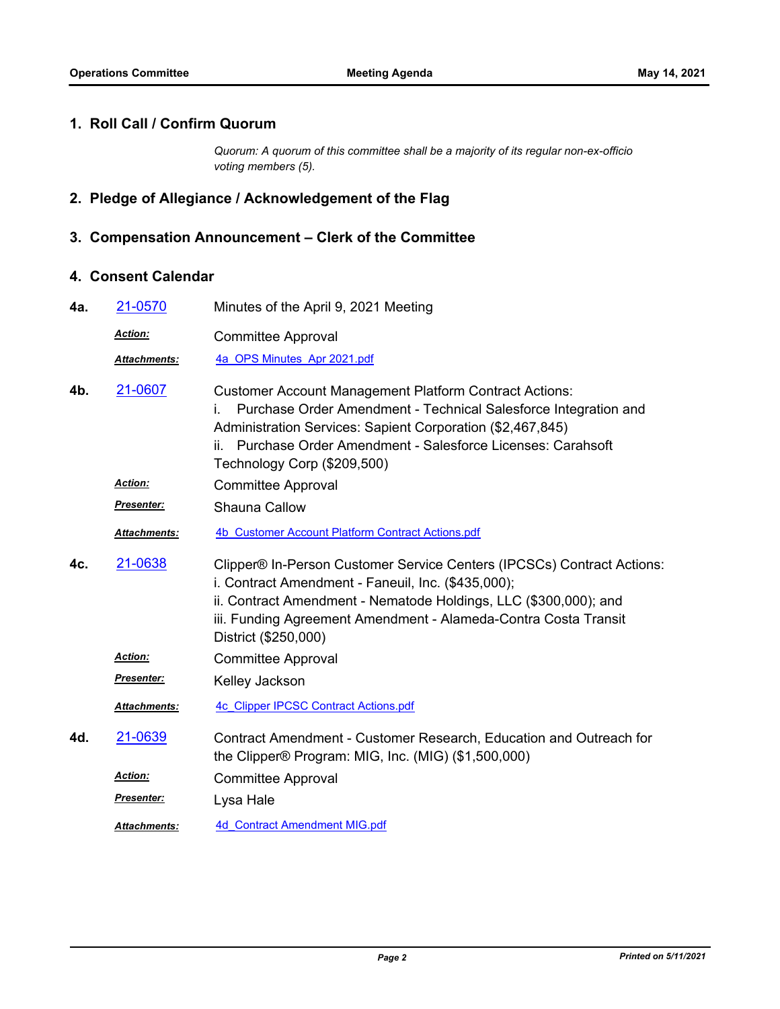#### **1. Roll Call / Confirm Quorum**

*Quorum: A quorum of this committee shall be a majority of its regular non-ex-officio voting members (5).*

# **2. Pledge of Allegiance / Acknowledgement of the Flag**

## **3. Compensation Announcement – Clerk of the Committee**

### **4. Consent Calendar**

| 4a. | 21-0570             | Minutes of the April 9, 2021 Meeting                                                                                                                                                                                                                                                              |
|-----|---------------------|---------------------------------------------------------------------------------------------------------------------------------------------------------------------------------------------------------------------------------------------------------------------------------------------------|
|     | Action:             | <b>Committee Approval</b>                                                                                                                                                                                                                                                                         |
|     | Attachments:        | 4a OPS Minutes Apr 2021.pdf                                                                                                                                                                                                                                                                       |
| 4b. | 21-0607             | <b>Customer Account Management Platform Contract Actions:</b><br>Purchase Order Amendment - Technical Salesforce Integration and<br>Administration Services: Sapient Corporation (\$2,467,845)<br>Purchase Order Amendment - Salesforce Licenses: Carahsoft<br>ii.<br>Technology Corp (\$209,500) |
|     | <b>Action:</b>      | <b>Committee Approval</b>                                                                                                                                                                                                                                                                         |
|     | <b>Presenter:</b>   | Shauna Callow                                                                                                                                                                                                                                                                                     |
|     | Attachments:        | 4b Customer Account Platform Contract Actions.pdf                                                                                                                                                                                                                                                 |
| 4c. | 21-0638             | Clipper® In-Person Customer Service Centers (IPCSCs) Contract Actions:<br>i. Contract Amendment - Faneuil, Inc. (\$435,000);<br>ii. Contract Amendment - Nematode Holdings, LLC (\$300,000); and<br>iii. Funding Agreement Amendment - Alameda-Contra Costa Transit<br>District (\$250,000)       |
|     | Action:             | <b>Committee Approval</b>                                                                                                                                                                                                                                                                         |
|     | Presenter:          | Kelley Jackson                                                                                                                                                                                                                                                                                    |
|     | <b>Attachments:</b> | <b>4c Clipper IPCSC Contract Actions.pdf</b>                                                                                                                                                                                                                                                      |
| 4d. | 21-0639             | Contract Amendment - Customer Research, Education and Outreach for<br>the Clipper® Program: MIG, Inc. (MIG) (\$1,500,000)                                                                                                                                                                         |
|     | <b>Action:</b>      | <b>Committee Approval</b>                                                                                                                                                                                                                                                                         |
|     | Presenter:          | Lysa Hale                                                                                                                                                                                                                                                                                         |
|     | Attachments:        | <b>4d</b> Contract Amendment MIG.pdf                                                                                                                                                                                                                                                              |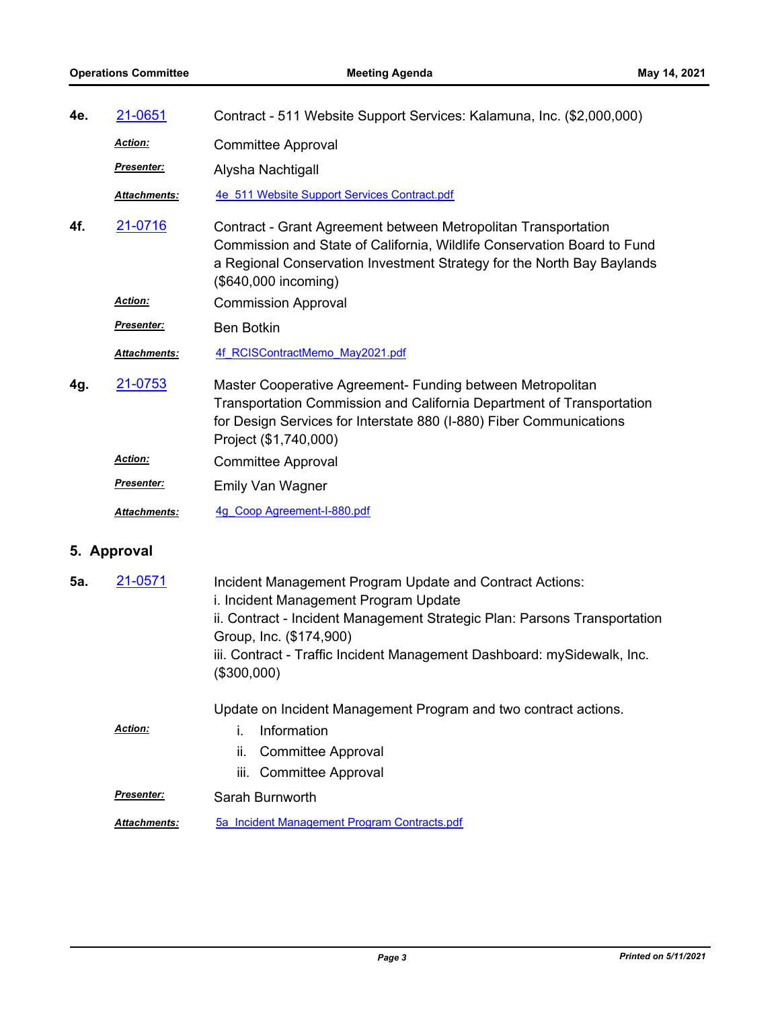| 4e.         | 21-0651           | Contract - 511 Website Support Services: Kalamuna, Inc. (\$2,000,000)                                                                                                                                                                                                                                                                                                  |
|-------------|-------------------|------------------------------------------------------------------------------------------------------------------------------------------------------------------------------------------------------------------------------------------------------------------------------------------------------------------------------------------------------------------------|
|             | <u>Action:</u>    | <b>Committee Approval</b>                                                                                                                                                                                                                                                                                                                                              |
|             | Presenter:        | Alysha Nachtigall                                                                                                                                                                                                                                                                                                                                                      |
|             | Attachments:      | 4e 511 Website Support Services Contract.pdf                                                                                                                                                                                                                                                                                                                           |
| 4f.         | 21-0716           | Contract - Grant Agreement between Metropolitan Transportation<br>Commission and State of California, Wildlife Conservation Board to Fund<br>a Regional Conservation Investment Strategy for the North Bay Baylands<br>(\$640,000 incoming)                                                                                                                            |
|             | <b>Action:</b>    | <b>Commission Approval</b>                                                                                                                                                                                                                                                                                                                                             |
|             | Presenter:        | <b>Ben Botkin</b>                                                                                                                                                                                                                                                                                                                                                      |
|             | Attachments:      | 4f RCISContractMemo May2021.pdf                                                                                                                                                                                                                                                                                                                                        |
| 4g.         | 21-0753           | Master Cooperative Agreement- Funding between Metropolitan<br>Transportation Commission and California Department of Transportation<br>for Design Services for Interstate 880 (I-880) Fiber Communications<br>Project (\$1,740,000)                                                                                                                                    |
|             | Action:           | <b>Committee Approval</b>                                                                                                                                                                                                                                                                                                                                              |
|             | <u>Presenter:</u> | <b>Emily Van Wagner</b>                                                                                                                                                                                                                                                                                                                                                |
|             | Attachments:      | 4g Coop Agreement-I-880.pdf                                                                                                                                                                                                                                                                                                                                            |
| 5. Approval |                   |                                                                                                                                                                                                                                                                                                                                                                        |
| 5а.         | 21-0571           | Incident Management Program Update and Contract Actions:<br>i. Incident Management Program Update<br>ii. Contract - Incident Management Strategic Plan: Parsons Transportation<br>Group, Inc. (\$174,900)<br>iii. Contract - Traffic Incident Management Dashboard: mySidewalk, Inc.<br>(\$300,000)<br>Update on Incident Management Program and two contract actions. |
|             |                   |                                                                                                                                                                                                                                                                                                                                                                        |

- i. Information *Action:*
	- ii. Committee Approval
	- iii. Committee Approval
- *Presenter:* Sarah Burnworth
- *Attachments:* [5a\\_Incident Management Program Contracts.pdf](http://mtc.legistar.com/gateway.aspx?M=F&ID=57c23cb8-d635-4644-abd3-298a7988d650.pdf)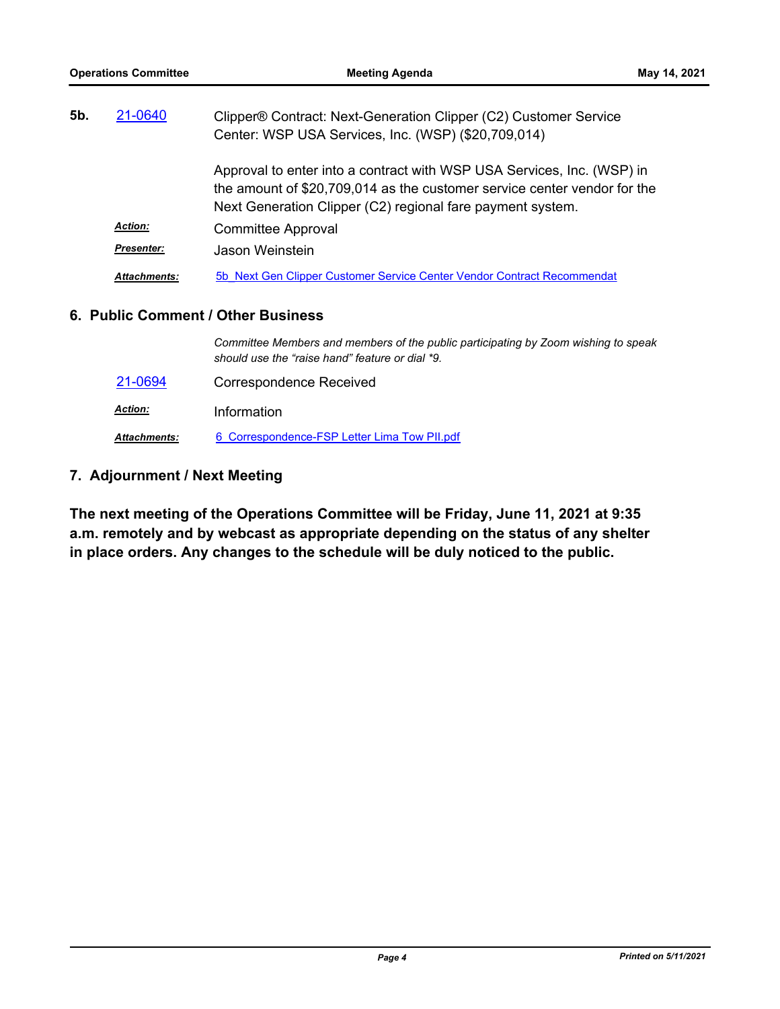| 5b. | 21-0640             | Clipper® Contract: Next-Generation Clipper (C2) Customer Service                                                                                                                                                 |
|-----|---------------------|------------------------------------------------------------------------------------------------------------------------------------------------------------------------------------------------------------------|
|     |                     | Center: WSP USA Services, Inc. (WSP) (\$20,709,014)                                                                                                                                                              |
|     |                     | Approval to enter into a contract with WSP USA Services, Inc. (WSP) in<br>the amount of \$20,709,014 as the customer service center vendor for the<br>Next Generation Clipper (C2) regional fare payment system. |
|     | <b>Action:</b>      | <b>Committee Approval</b>                                                                                                                                                                                        |
|     | Presenter:          | Jason Weinstein                                                                                                                                                                                                  |
|     | <b>Attachments:</b> | 5b Next Gen Clipper Customer Service Center Vendor Contract Recommendat                                                                                                                                          |

### **6. Public Comment / Other Business**

|                     | Committee Members and members of the public participating by Zoom wishing to speak<br>should use the "raise hand" feature or dial *9. |
|---------------------|---------------------------------------------------------------------------------------------------------------------------------------|
| 21-0694             | Correspondence Received                                                                                                               |
| <u>Action:</u>      | Information                                                                                                                           |
| <b>Attachments:</b> | 6 Correspondence-FSP Letter Lima Tow PII.pdf                                                                                          |

### **7. Adjournment / Next Meeting**

**The next meeting of the Operations Committee will be Friday, June 11, 2021 at 9:35 a.m. remotely and by webcast as appropriate depending on the status of any shelter in place orders. Any changes to the schedule will be duly noticed to the public.**